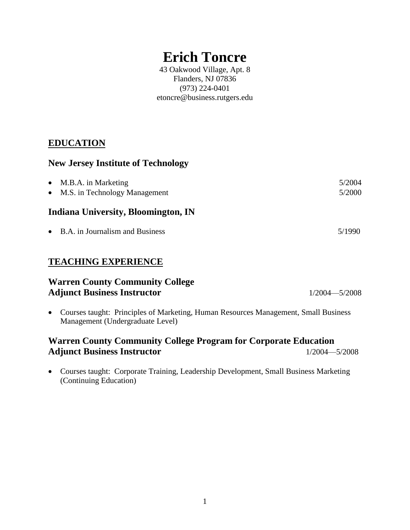# **Erich Toncre**

43 Oakwood Village, Apt. 8 Flanders, NJ 07836 (973) 224-0401 etoncre@business.rutgers.edu

## **EDUCATION**

#### **New Jersey Institute of Technology**

| $\bullet$ M.B.A. in Marketing<br>• M.S. in Technology Management | 5/2004<br>5/2000 |
|------------------------------------------------------------------|------------------|
| Indiana University, Bloomington, IN                              |                  |
| • B.A. in Journalism and Business                                | 5/1990           |

## **TEACHING EXPERIENCE**

| <b>Warren County Community College</b> |                   |
|----------------------------------------|-------------------|
| <b>Adjunct Business Instructor</b>     | $1/2004 - 5/2008$ |

 Courses taught: Principles of Marketing, Human Resources Management, Small Business Management (Undergraduate Level)

## **Warren County Community College Program for Corporate Education** Adjunct Business Instructor 1/2004—5/2008

 Courses taught: Corporate Training, Leadership Development, Small Business Marketing (Continuing Education)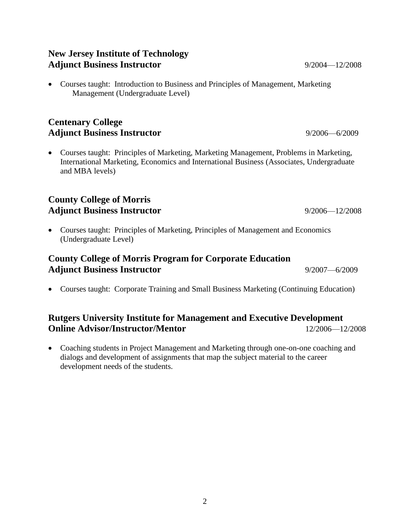#### **New Jersey Institute of Technology** Adjunct Business Instructor 9/2004—12/2008

 Courses taught: Introduction to Business and Principles of Management, Marketing Management (Undergraduate Level)

# **Centenary College** Adjunct Business Instructor 9/2006—6/2009

 Courses taught: Principles of Marketing, Marketing Management, Problems in Marketing, International Marketing, Economics and International Business (Associates, Undergraduate and MBA levels)

#### **County College of Morris** Adjunct Business Instructor 9/2006—12/2008

 Courses taught: Principles of Marketing, Principles of Management and Economics (Undergraduate Level)

# **County College of Morris Program for Corporate Education** Adjunct Business Instructor 9/2007—6/2009

Courses taught: Corporate Training and Small Business Marketing (Continuing Education)

# **Rutgers University Institute for Management and Executive Development Online Advisor/Instructor/Mentor** 12/2006—12/2008

 Coaching students in Project Management and Marketing through one-on-one coaching and dialogs and development of assignments that map the subject material to the career development needs of the students.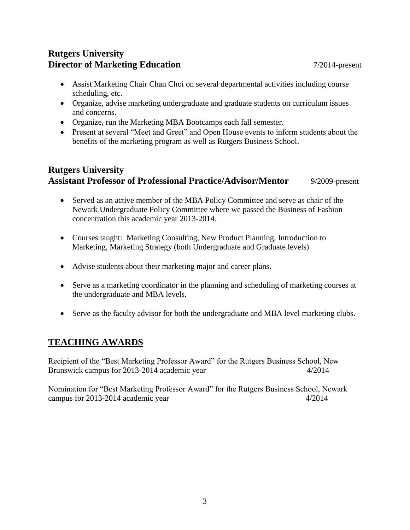## **Rutgers University Director of Marketing Education** 7/2014-present

- Assist Marketing Chair Chan Choi on several departmental activities including course scheduling, etc.
- Organize, advise marketing undergraduate and graduate students on curriculum issues and concerns.
- Organize, run the Marketing MBA Bootcamps each fall semester.
- Present at several "Meet and Greet" and Open House events to inform students about the benefits of the marketing program as well as Rutgers Business School.

# **Rutgers University Assistant Professor of Professional Practice/Advisor/Mentor** 9/2009-present

- Served as an active member of the MBA Policy Committee and serve as chair of the Newark Undergraduate Policy Committee where we passed the Business of Fashion concentration this academic year 2013-2014.
- Courses taught: Marketing Consulting, New Product Planning, Introduction to Marketing, Marketing Strategy (both Undergraduate and Graduate levels)
- Advise students about their marketing major and career plans.
- Serve as a marketing coordinator in the planning and scheduling of marketing courses at the undergraduate and MBA levels.
- Serve as the faculty advisor for both the undergraduate and MBA level marketing clubs.

## **TEACHING AWARDS**

Recipient of the "Best Marketing Professor Award" for the Rutgers Business School, New Brunswick campus for 2013-2014 academic year 4/2014

Nomination for "Best Marketing Professor Award" for the Rutgers Business School, Newark campus for 2013-2014 academic year 4/2014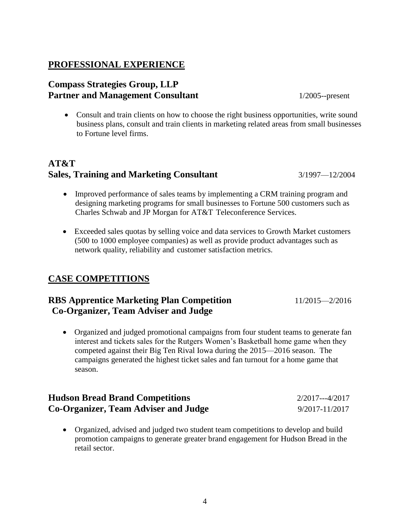#### **PROFESSIONAL EXPERIENCE**

#### **Compass Strategies Group, LLP** Partner and Management Consultant 1/2005--present

• Consult and train clients on how to choose the right business opportunities, write sound business plans, consult and train clients in marketing related areas from small businesses to Fortune level firms.

# **AT&T Sales, Training and Marketing Consultant** 3/1997—12/2004

- Improved performance of sales teams by implementing a CRM training program and designing marketing programs for small businesses to Fortune 500 customers such as Charles Schwab and JP Morgan for AT&T Teleconference Services.
- Exceeded sales quotas by selling voice and data services to Growth Market customers (500 to 1000 employee companies) as well as provide product advantages such as network quality, reliability and customer satisfaction metrics.

#### **CASE COMPETITIONS**

## **RBS Apprentice Marketing Plan Competition** 11/2015—2/2016 **Co-Organizer, Team Adviser and Judge**

 Organized and judged promotional campaigns from four student teams to generate fan interest and tickets sales for the Rutgers Women's Basketball home game when they competed against their Big Ten Rival Iowa during the 2015—2016 season. The campaigns generated the highest ticket sales and fan turnout for a home game that season.

| <b>Hudson Bread Brand Competitions</b> | $2/2017--4/2017$ |
|----------------------------------------|------------------|
| Co-Organizer, Team Adviser and Judge   | 9/2017-11/2017   |

 Organized, advised and judged two student team competitions to develop and build promotion campaigns to generate greater brand engagement for Hudson Bread in the retail sector.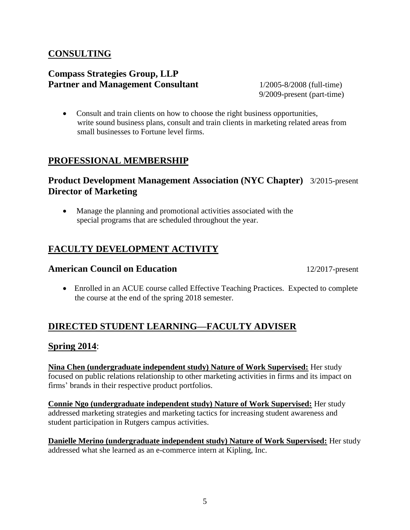## **CONSULTING**

#### **Compass Strategies Group, LLP Partner and Management Consultant** 1/2005-8/2008 (full-time)

9/2009-present (part-time)

 Consult and train clients on how to choose the right business opportunities, write sound business plans, consult and train clients in marketing related areas from small businesses to Fortune level firms.

## **PROFESSIONAL MEMBERSHIP**

#### **Product Development Management Association (NYC Chapter)** 3/2015-present **Director of Marketing**

 Manage the planning and promotional activities associated with the special programs that are scheduled throughout the year.

## **FACULTY DEVELOPMENT ACTIVITY**

#### **American Council on Education** 12/2017-present

 Enrolled in an ACUE course called Effective Teaching Practices. Expected to complete the course at the end of the spring 2018 semester.

## **DIRECTED STUDENT LEARNING—FACULTY ADVISER**

#### **Spring 2014**:

**Nina Chen (undergraduate independent study) Nature of Work Supervised:** Her study focused on public relations relationship to other marketing activities in firms and its impact on firms' brands in their respective product portfolios.

**Connie Ngo (undergraduate independent study) Nature of Work Supervised:** Her study addressed marketing strategies and marketing tactics for increasing student awareness and student participation in Rutgers campus activities.

**Danielle Merino (undergraduate independent study) Nature of Work Supervised:** Her study addressed what she learned as an e-commerce intern at Kipling, Inc.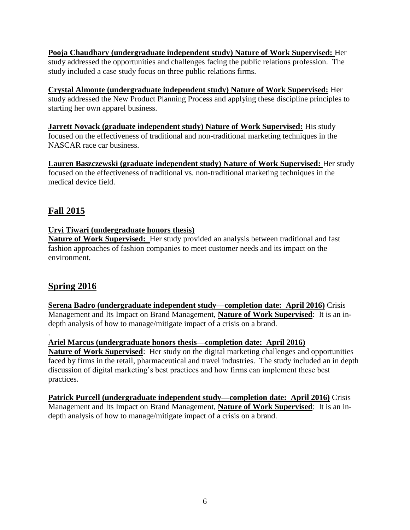**Pooja Chaudhary (undergraduate independent study) Nature of Work Supervised:** Her study addressed the opportunities and challenges facing the public relations profession. The study included a case study focus on three public relations firms.

#### **Crystal Almonte (undergraduate independent study) Nature of Work Supervised:** Her

study addressed the New Product Planning Process and applying these discipline principles to starting her own apparel business.

**Jarrett Novack (graduate independent study) Nature of Work Supervised:** His study focused on the effectiveness of traditional and non-traditional marketing techniques in the NASCAR race car business.

**Lauren Baszczewski (graduate independent study) Nature of Work Supervised:** Her study focused on the effectiveness of traditional vs. non-traditional marketing techniques in the medical device field.

# **Fall 2015**

#### **Urvi Tiwari (undergraduate honors thesis)**

**Nature of Work Supervised:** Her study provided an analysis between traditional and fast fashion approaches of fashion companies to meet customer needs and its impact on the environment.

## **Spring 2016**

**Serena Badro (undergraduate independent study—completion date: April 2016)** Crisis Management and Its Impact on Brand Management, **Nature of Work Supervised**: It is an indepth analysis of how to manage/mitigate impact of a crisis on a brand.

. **Ariel Marcus (undergraduate honors thesis—completion date: April 2016)**

**Nature of Work Supervised**: Her study on the digital marketing challenges and opportunities faced by firms in the retail, pharmaceutical and travel industries. The study included an in depth discussion of digital marketing's best practices and how firms can implement these best practices.

**Patrick Purcell (undergraduate independent study—completion date: April 2016)** Crisis Management and Its Impact on Brand Management, **Nature of Work Supervised**: It is an indepth analysis of how to manage/mitigate impact of a crisis on a brand.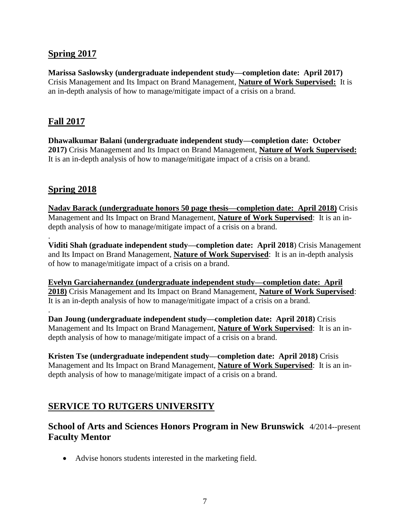#### **Spring 2017**

**Marissa Saslowsky (undergraduate independent study—completion date: April 2017)** Crisis Management and Its Impact on Brand Management, **Nature of Work Supervised:** It is an in-depth analysis of how to manage/mitigate impact of a crisis on a brand.

#### **Fall 2017**

**Dhawalkumar Balani (undergraduate independent study—completion date: October 2017)** Crisis Management and Its Impact on Brand Management, **Nature of Work Supervised:** It is an in-depth analysis of how to manage/mitigate impact of a crisis on a brand.

## **Spring 2018**

.

.

**Nadav Barack (undergraduate honors 50 page thesis—completion date: April 2018)** Crisis Management and Its Impact on Brand Management, **Nature of Work Supervised**: It is an indepth analysis of how to manage/mitigate impact of a crisis on a brand.

**Viditi Shah (graduate independent study—completion date: April 2018**) Crisis Management and Its Impact on Brand Management, **Nature of Work Supervised**: It is an in-depth analysis of how to manage/mitigate impact of a crisis on a brand.

**Evelyn Garciahernandez (undergraduate independent study—completion date: April 2018)** Crisis Management and Its Impact on Brand Management, **Nature of Work Supervised**: It is an in-depth analysis of how to manage/mitigate impact of a crisis on a brand.

**Dan Joung (undergraduate independent study—completion date: April 2018)** Crisis Management and Its Impact on Brand Management, **Nature of Work Supervised**: It is an indepth analysis of how to manage/mitigate impact of a crisis on a brand.

**Kristen Tse (undergraduate independent study—completion date: April 2018)** Crisis Management and Its Impact on Brand Management, **Nature of Work Supervised**: It is an indepth analysis of how to manage/mitigate impact of a crisis on a brand.

#### **SERVICE TO RUTGERS UNIVERSITY**

## **School of Arts and Sciences Honors Program in New Brunswick** 4/2014--present **Faculty Mentor**

Advise honors students interested in the marketing field.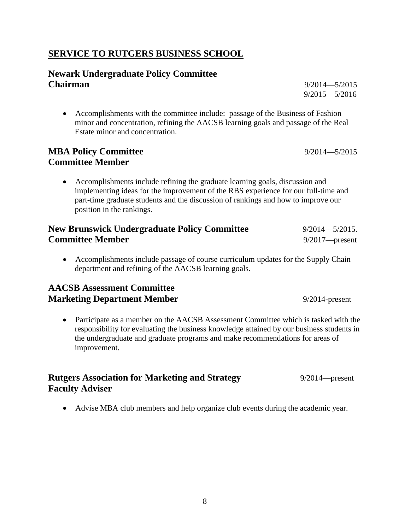#### **SERVICE TO RUTGERS BUSINESS SCHOOL**

#### **Newark Undergraduate Policy Committee Chairman** 9/2014—5/2015

 Accomplishments with the committee include: passage of the Business of Fashion minor and concentration, refining the AACSB learning goals and passage of the Real Estate minor and concentration.

#### **MBA Policy Committee** 9/2014—5/2015 **Committee Member**

 Accomplishments include refining the graduate learning goals, discussion and implementing ideas for the improvement of the RBS experience for our full-time and part-time graduate students and the discussion of rankings and how to improve our position in the rankings.

| <b>New Brunswick Undergraduate Policy Committee</b> | $9/2014 - 5/2015$ . |
|-----------------------------------------------------|---------------------|
| <b>Committee Member</b>                             | $9/2017$ -present   |

 Accomplishments include passage of course curriculum updates for the Supply Chain department and refining of the AACSB learning goals.

#### **AACSB Assessment Committee Marketing Department Member** 9/2014-present

 Participate as a member on the AACSB Assessment Committee which is tasked with the responsibility for evaluating the business knowledge attained by our business students in the undergraduate and graduate programs and make recommendations for areas of improvement.

#### **Rutgers Association for Marketing and Strategy** 9/2014—present **Faculty Adviser**

Advise MBA club members and help organize club events during the academic year.

9/2015—5/2016